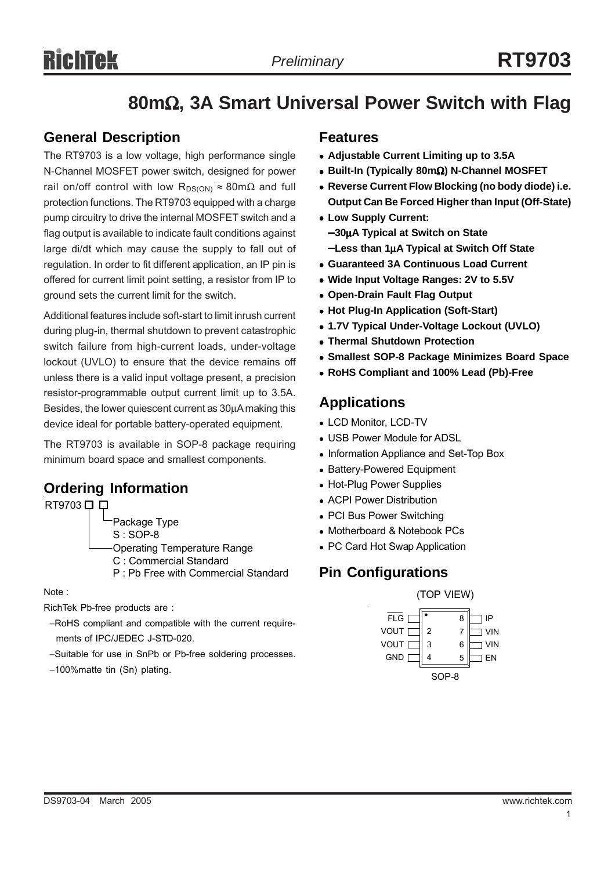# Richtek

# **80m**Ω**, 3A Smart Universal Power Switch with Flag**

## **General Description**

The RT9703 is a low voltage, high performance single N-Channel MOSFET power switch, designed for power rail on/off control with low R<sub>DS(ON)</sub>  $\approx 80 \text{m}\Omega$  and full protection functions. The RT9703 equipped with a charge pump circuitry to drive the internal MOSFET switch and a flag output is available to indicate fault conditions against large di/dt which may cause the supply to fall out of regulation. In order to fit different application, an IP pin is offered for current limit point setting, a resistor from IP to ground sets the current limit for the switch.

Additional features include soft-start to limit inrush current during plug-in, thermal shutdown to prevent catastrophic switch failure from high-current loads, under-voltage lockout (UVLO) to ensure that the device remains off unless there is a valid input voltage present, a precision resistor-programmable output current limit up to 3.5A. Besides, the lower quiescent current as 30µA making this device ideal for portable battery-operated equipment.

The RT9703 is available in SOP-8 package requiring minimum board space and smallest components.

## **Ordering Information**

RT9703 O Package Type S : SOP-8 Operating Temperature Range C : Commercial Standard P : Pb Free with Commercial Standard

#### Note :

RichTek Pb-free products are :

- −RoHS compliant and compatible with the current require ments of IPC/JEDEC J-STD-020.
- −Suitable for use in SnPb or Pb-free soldering processes.
- −100%matte tin (Sn) plating.

## **Features**

- <sup>z</sup> **Adjustable Current Limiting up to 3.5A**
- <sup>z</sup> **Built-In (Typically 80m**Ω**) N-Channel MOSFET**
- **Reverse Current Flow Blocking (no body diode) i.e. Output Can Be Forced Higher than Input (Off-State)**
- **Low Supply Current:** −**30**µ**A Typical at Switch on State** −**Less than 1**µ**A Typical at Switch Off State**
- <sup>z</sup> **Guaranteed 3A Continuous Load Current**
- Wide Input Voltage Ranges: 2V to 5.5V
- **Open-Drain Fault Flag Output**
- <sup>z</sup> **Hot Plug-In Application (Soft-Start)**
- <sup>z</sup> **1.7V Typical Under-Voltage Lockout (UVLO)**
- **Thermal Shutdown Protection**
- **Smallest SOP-8 Package Minimizes Board Space**
- <sup>z</sup> **RoHS Compliant and 100% Lead (Pb)-Free**

## **Applications**

- LCD Monitor, LCD-TV
- USB Power Module for ADSL
- Information Appliance and Set-Top Box
- Battery-Powered Equipment
- Hot-Plug Power Supplies
- ACPI Power Distribution
- PCI Bus Power Switching
- Motherboard & Notebook PCs
- PC Card Hot Swap Application

## **Pin Configurations**

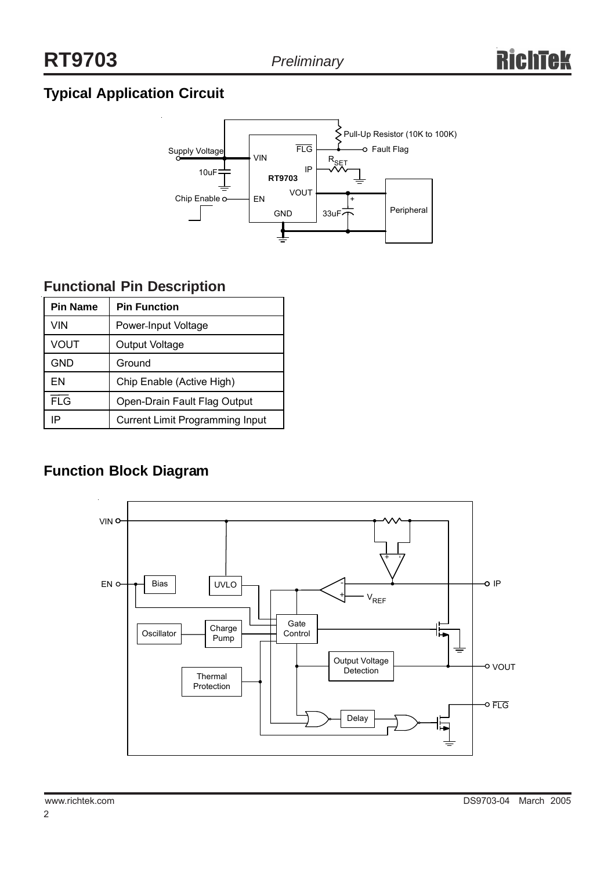## **Typical Application Circuit**



## **Functional Pin Description**

| <b>Pin Name</b>               | <b>Pin Function</b>                    |  |  |
|-------------------------------|----------------------------------------|--|--|
| VIN                           | Power-Input Voltage                    |  |  |
| <b>VOUT</b><br>Output Voltage |                                        |  |  |
| <b>GND</b>                    | Ground                                 |  |  |
| FΝ                            | Chip Enable (Active High)              |  |  |
| FLG                           | Open-Drain Fault Flag Output           |  |  |
| IP                            | <b>Current Limit Programming Input</b> |  |  |

## **Function Block Diagram**

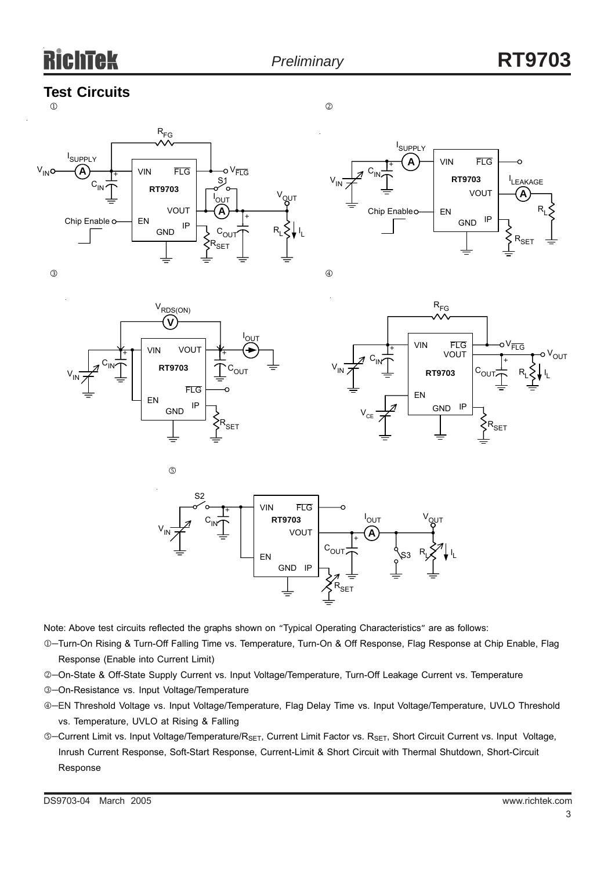## **Test Circuits**













Note: Above test circuits reflected the graphs shown on "Typical Operating Characteristics" are as follows:

- 1–Turn-On Rising & Turn-Off Falling Time vs. Temperature, Turn-On & Off Response, Flag Response at Chip Enable, Flag Response (Enable into Current Limit)
- 2–On-State & Off-State Supply Current vs. Input Voltage/Temperature, Turn-Off Leakage Current vs. Temperature
- 3–On-Resistance vs. Input Voltage/Temperature
- 4–EN Threshold Voltage vs. Input Voltage/Temperature, Flag Delay Time vs. Input Voltage/Temperature, UVLO Threshold vs. Temperature, UVLO at Rising & Falling
- ©-Current Limit vs. Input Voltage/Temperature/R<sub>SET</sub>, Current Limit Factor vs. R<sub>SET</sub>, Short Circuit Current vs. Input Voltage, Inrush Current Response, Soft-Start Response, Current-Limit & Short Circuit with Thermal Shutdown, Short-Circuit Response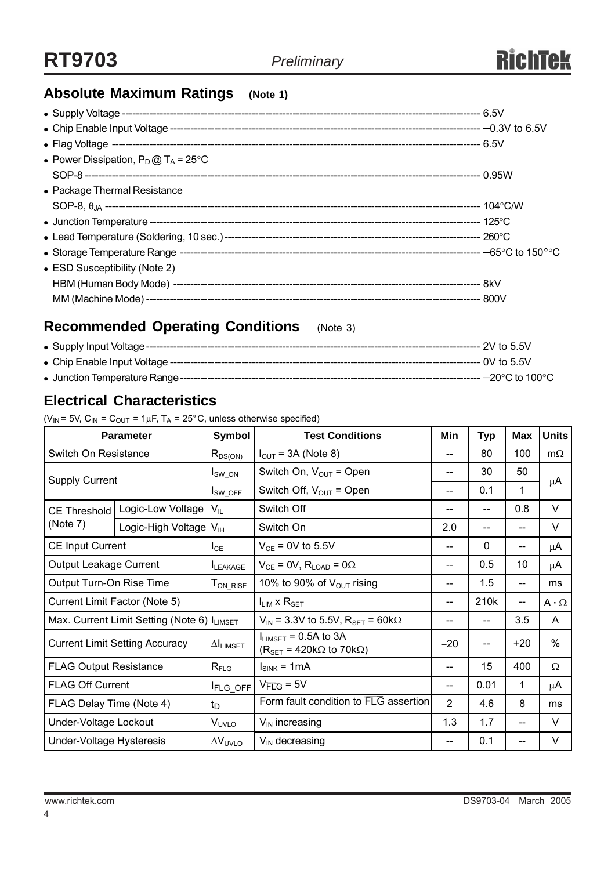

## **Absolute Maximum Ratings (Note 1)**

| • Power Dissipation, $P_D @ T_A = 25^{\circ}C$ |  |
|------------------------------------------------|--|
|                                                |  |
| • Package Thermal Resistance                   |  |
|                                                |  |
|                                                |  |
|                                                |  |
|                                                |  |
| • ESD Susceptibility (Note 2)                  |  |
|                                                |  |
|                                                |  |
|                                                |  |

## **Recommended Operating Conditions** (Note 3)

| • Supply Input Voltage ---         | --- 2V to 5.5V |
|------------------------------------|----------------|
| • Chip Enable Input Voltage ----   |                |
| • Junction Temperature Range ----- |                |

## **Electrical Characteristics**

( $V_{IN}$  = 5V,  $C_{IN}$  =  $C_{OUT}$  = 1µF,  $T_A$  = 25°C, unless otherwise specified)

| <b>Parameter</b>                            |                                      | Symbol                                | <b>Test Conditions</b>                                                        | Min               | <b>Typ</b> | <b>Max</b>  | <b>Units</b>     |
|---------------------------------------------|--------------------------------------|---------------------------------------|-------------------------------------------------------------------------------|-------------------|------------|-------------|------------------|
|                                             | Switch On Resistance<br>$R_{DS(ON)}$ |                                       | $I_{OUT}$ = 3A (Note 8)                                                       | --                | 80         | 100         | $m\Omega$        |
| <b>Supply Current</b>                       |                                      | $I_{\text{SW\_ON}}$                   | Switch On, $V_{OUT}$ = Open                                                   | --                | 30         | 50          |                  |
|                                             |                                      | I <sub>SW_OFF</sub>                   | Switch Off, $V_{OUT}$ = Open<br>--                                            |                   | 0.1        | 1           | μA               |
| <b>CE Threshold</b>                         | Logic-Low Voltage                    | $\mathsf{V}_{\mathsf{IL}}$            | Switch Off                                                                    |                   |            | 0.8         | V                |
| (Note 7)                                    | Logic-High Voltage V <sub>IH</sub>   |                                       | Switch On                                                                     | 2.0               |            | --          | V                |
| <b>CE Input Current</b>                     |                                      | $I_{CE}$                              | $V_{CE} = 0V$ to 5.5V                                                         | --                | 0          | $-\!$ $\!-$ | μA               |
| Output Leakage Current                      |                                      | LEAKAGE                               | $V_{CE}$ = 0V, $R_{LOAD}$ = 0 $\Omega$                                        | --                | 0.5        | 10          | μA               |
| Output Turn-On Rise Time                    |                                      | $\mathsf{T}_{\mathsf{ON\_RISE}}$      | 10% to 90% of $V_{\text{OUT}}$ rising                                         | $\qquad \qquad -$ | 1.5        | $- -$       | ms               |
| Current Limit Factor (Note 5)               |                                      |                                       | $I_{LIM}$ x $R_{SET}$                                                         | --                | 210k       | --          | $A \cdot \Omega$ |
| Max. Current Limit Setting (Note 6) ILIMSET |                                      |                                       | $V_{\text{IN}}$ = 3.3V to 5.5V, R <sub>SET</sub> = 60k $\Omega$               | --                | --         | 3.5         | A                |
| <b>Current Limit Setting Accuracy</b>       |                                      | $\Delta \mathsf{I}_{\mathsf{LIMSET}}$ | $I_{LIMSET}$ = 0.5A to 3A<br>$(R_{\text{SET}} = 420k\Omega$ to 70k $\Omega$ ) | $-20$             |            | $+20$       | $\%$             |
| <b>FLAG Output Resistance</b>               |                                      | $R_{\tiny\textsf{FLG}}$               | $I_{SINK}$ = 1mA                                                              | --                | 15         | 400         | Ω                |
| <b>FLAG Off Current</b>                     |                                      | <b>FLG OFF</b>                        | $V_{FIG} = 5V$                                                                | --                | 0.01       | 1           | μA               |
| FLAG Delay Time (Note 4)                    |                                      | tp                                    | Form fault condition to FLG assertion                                         | $\overline{2}$    | 4.6        | 8           | ms               |
| Under-Voltage Lockout                       |                                      | V <sub>UVLO</sub>                     | $V_{IN}$ increasing                                                           | 1.3               | 1.7        | $- -$       | V                |
| Under-Voltage Hysteresis                    |                                      | $\Delta V_{UVLO}$                     | $V_{IN}$ decreasing                                                           | --                | 0.1        | --          | V                |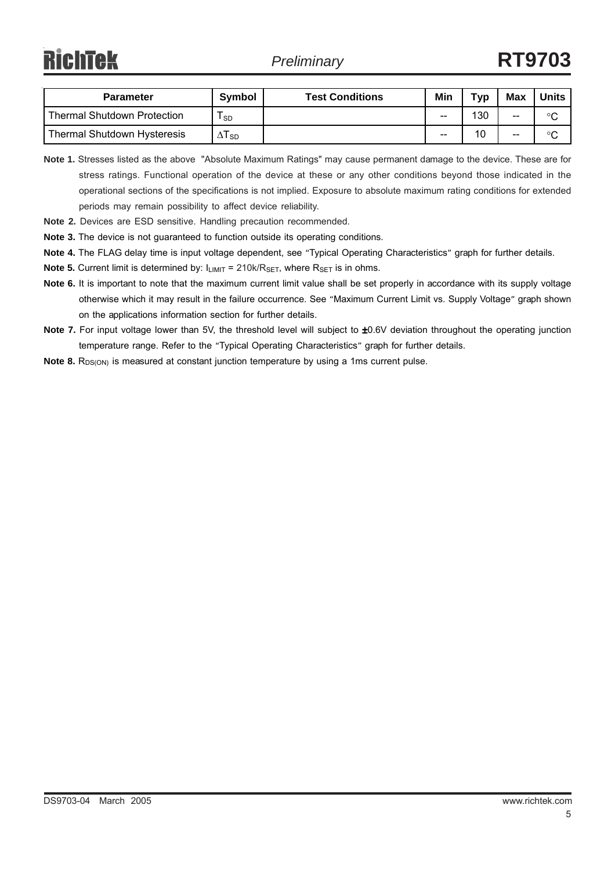| <b>Parameter</b>                   | <b>Symbol</b>            | <b>Test Conditions</b> | Min   | Typ | <b>Max</b> | Units   |
|------------------------------------|--------------------------|------------------------|-------|-----|------------|---------|
| <b>Thermal Shutdown Protection</b> | l sd                     |                        | $-$   | 130 | --         | $\circ$ |
| <b>Thermal Shutdown Hysteresis</b> | $\Delta$ T <sub>SD</sub> |                        | $- -$ | 10  | --         | ം       |

**Note 1.** Stresses listed as the above "Absolute Maximum Ratings" may cause permanent damage to the device. These are for stress ratings. Functional operation of the device at these or any other conditions beyond those indicated in the operational sections of the specifications is not implied. Exposure to absolute maximum rating conditions for extended periods may remain possibility to affect device reliability.

- **Note 2.** Devices are ESD sensitive. Handling precaution recommended.
- **Note 3.** The device is not guaranteed to function outside its operating conditions.
- Note 4. The FLAG delay time is input voltage dependent, see "Typical Operating Characteristics" graph for further details.
- **Note 5.** Current limit is determined by:  $I_{LIMIT}$  = 210k/ $R_{SET}$ , where  $R_{SET}$  is in ohms.
- **Note 6.** It is important to note that the maximum current limit value shall be set properly in accordance with its supply voltage otherwise which it may result in the failure occurrence. See "Maximum Current Limit vs. Supply Voltage" graph shown on the applications information section for further details.
- **Note 7.** For input voltage lower than 5V, the threshold level will subject to  $\pm 0.6V$  deviation throughout the operating junction temperature range. Refer to the "Typical Operating Characteristics" graph for further details.
- **Note 8.** R<sub>DS(ON)</sub> is measured at constant junction temperature by using a 1ms current pulse.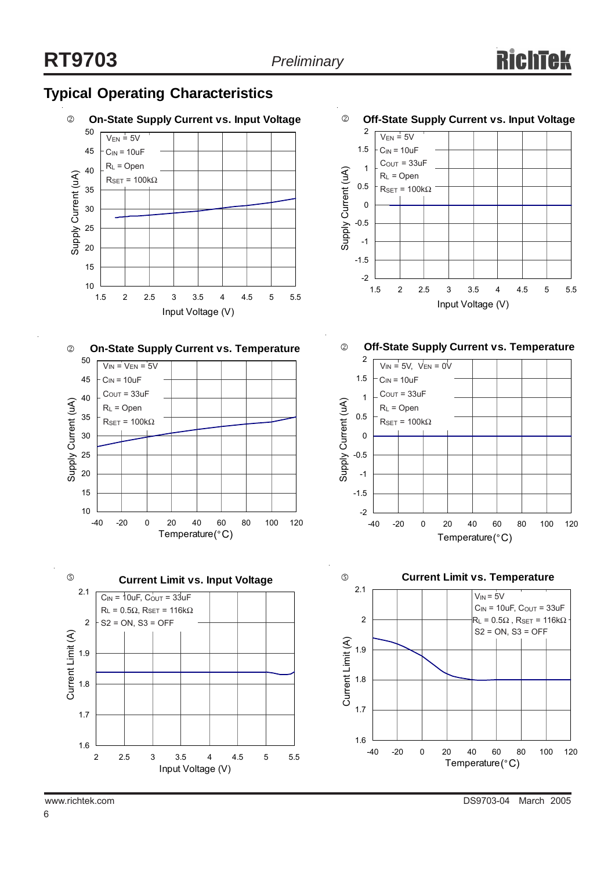## **Typical Operating Characteristics**

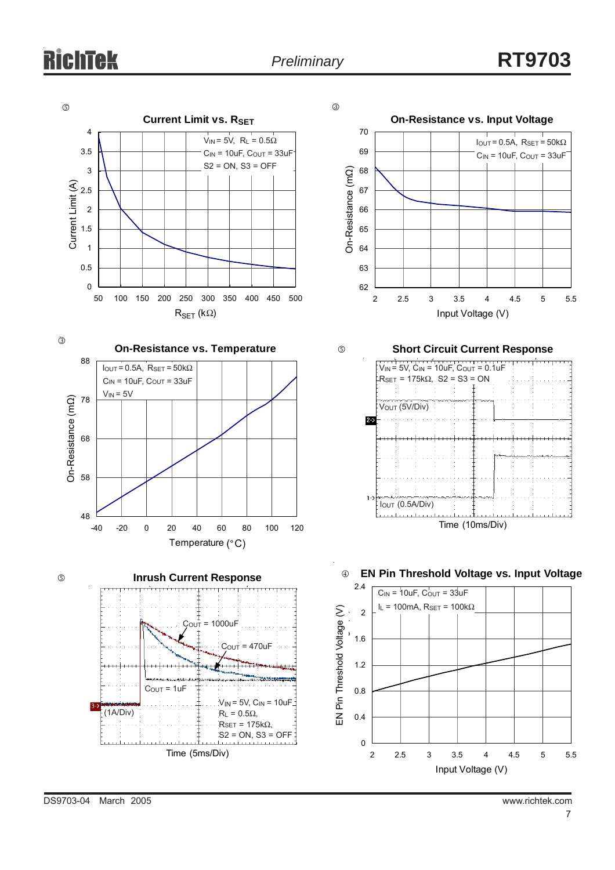# *Preliminary* **RT9703**

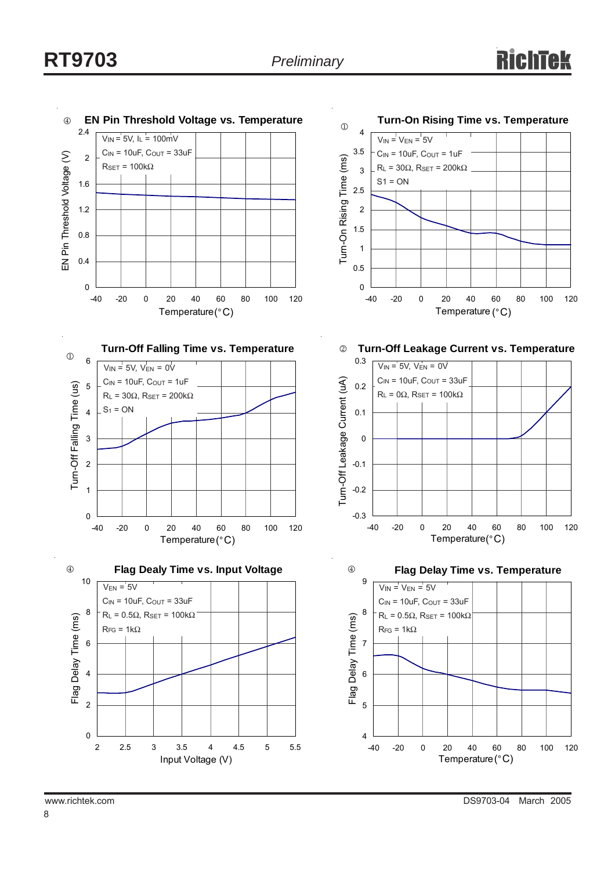# **RT9703** *Preliminary*

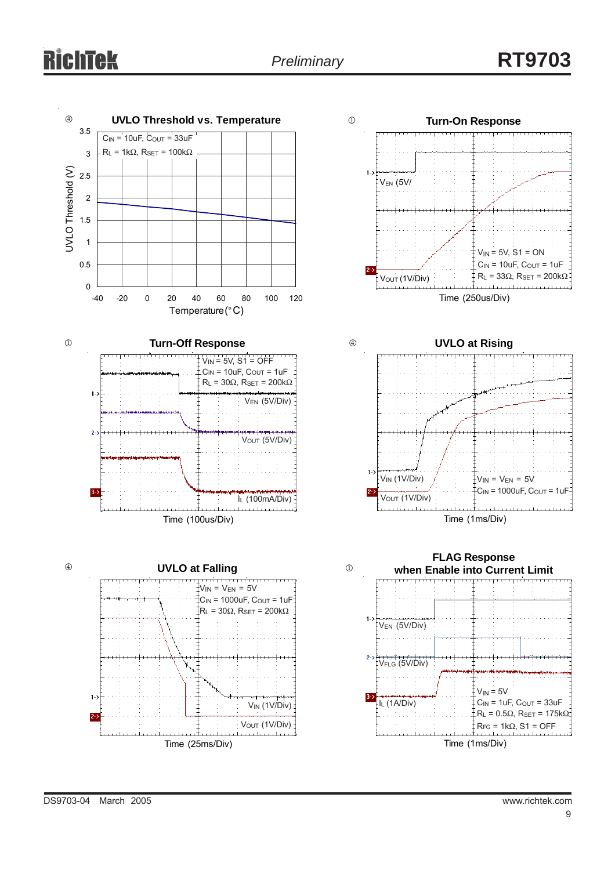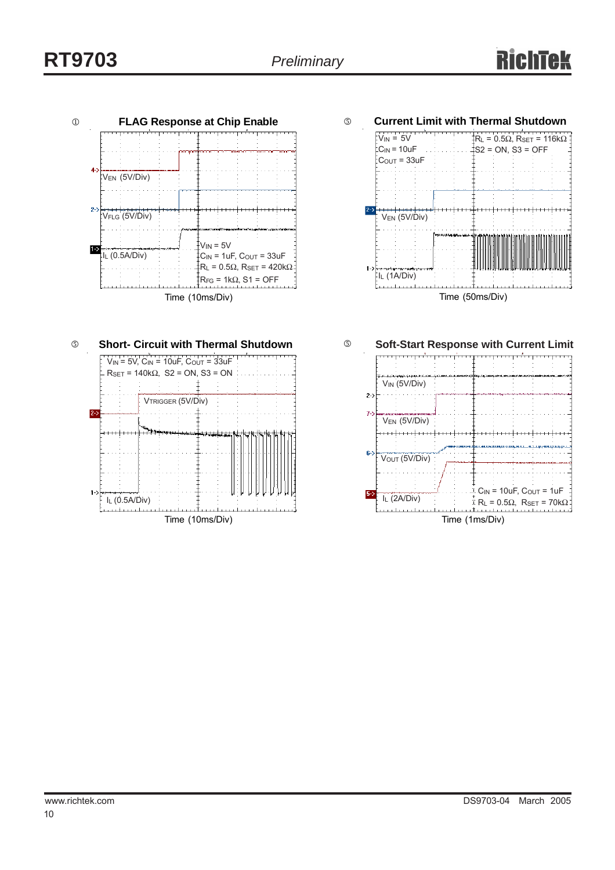





 $\circledS$  VIN (5V/Div) $2 - 2$  $7-$  VEN (5V/Div) . . . . . . . . . . . . . . .  $6-$ VOUT (5V/Div)  $C_{IN}$  = 10uF,  $C_{OUT}$  = 1uF  $5 -$  IL (2A/Div)  $\overline{R}$  R<sub>L</sub> = 0.5Ω, R<sub>SET</sub> = 70kΩ and a country Time (1ms/Div)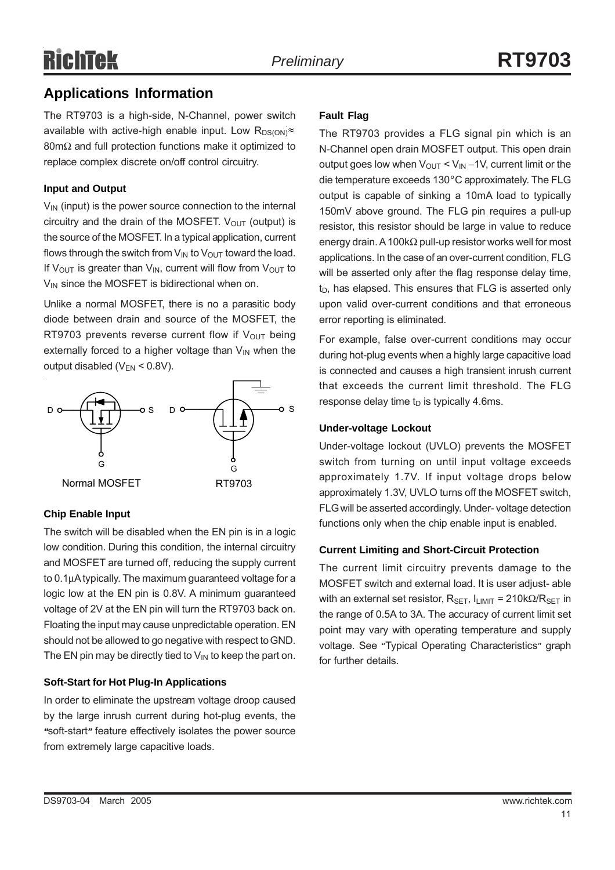## **Applications Information**

The RT9703 is a high-side, N-Channel, power switch available with active-high enable input. Low  $R_{DS(ON)} \approx$ 80mΩ and full protection functions make it optimized to replace complex discrete on/off control circuitry.

#### **Input and Output**

 $V_{\text{IN}}$  (input) is the power source connection to the internal circuitry and the drain of the MOSFET.  $V_{\text{OUT}}$  (output) is the source of the MOSFET. In a typical application, current flows through the switch from  $V_{IN}$  to  $V_{OUT}$  toward the load. If V<sub>OUT</sub> is greater than V<sub>IN</sub>, current will flow from V<sub>OUT</sub> to  $V_{IN}$  since the MOSFET is bidirectional when on.

Unlike a normal MOSFET, there is no a parasitic body diode between drain and source of the MOSFET, the RT9703 prevents reverse current flow if  $V_{OUT}$  being externally forced to a higher voltage than  $V_{IN}$  when the output disabled ( $V_{EN}$  < 0.8V).



## **Chip Enable Input**

The switch will be disabled when the EN pin is in a logic low condition. During this condition, the internal circuitry and MOSFET are turned off, reducing the supply current to 0.1µA typically. The maximum guaranteed voltage for a logic low at the EN pin is 0.8V. A minimum guaranteed voltage of 2V at the EN pin will turn the RT9703 back on. Floating the input may cause unpredictable operation. EN should not be allowed to go negative with respect to GND. The EN pin may be directly tied to  $V_{\text{IN}}$  to keep the part on.

#### **Soft-Start for Hot Plug-In Applications**

In order to eliminate the upstream voltage droop caused by the large inrush current during hot-plug events, the **"**soft-start**"** feature effectively isolates the power source from extremely large capacitive loads.

#### **Fault Flag**

The RT9703 provides a FLG signal pin which is an N-Channel open drain MOSFET output. This open drain output goes low when  $V_{\text{OUT}}$  <  $V_{\text{IN}}$  –1V, current limit or the die temperature exceeds 130°C approximately. The FLG output is capable of sinking a 10mA load to typically 150mV above ground. The FLG pin requires a pull-up resistor, this resistor should be large in value to reduce energy drain. A 100kΩ pull-up resistor works well for most applications. In the case of an over-current condition, FLG will be asserted only after the flag response delay time,  $t_D$ , has elapsed. This ensures that FLG is asserted only upon valid over-current conditions and that erroneous error reporting is eliminated.

For example, false over-current conditions may occur during hot-plug events when a highly large capacitive load is connected and causes a high transient inrush current that exceeds the current limit threshold. The FLG response delay time  $t<sub>D</sub>$  is typically 4.6ms.

#### **Under-voltage Lockout**

Under-voltage lockout (UVLO) prevents the MOSFET switch from turning on until input voltage exceeds approximately 1.7V. If input voltage drops below approximately 1.3V, UVLO turns off the MOSFET switch, FLG will be asserted accordingly. Under- voltage detection functions only when the chip enable input is enabled.

#### **Current Limiting and Short-Circuit Protection**

The current limit circuitry prevents damage to the MOSFET switch and external load. It is user adjust- able with an external set resistor,  $R_{\text{SET}}$ ,  $I_{\text{LIMIT}} = 210 \text{k}\Omega/R_{\text{SET}}$  in the range of 0.5A to 3A. The accuracy of current limit set point may vary with operating temperature and supply voltage. See "Typical Operating Characteristics" graph for further details.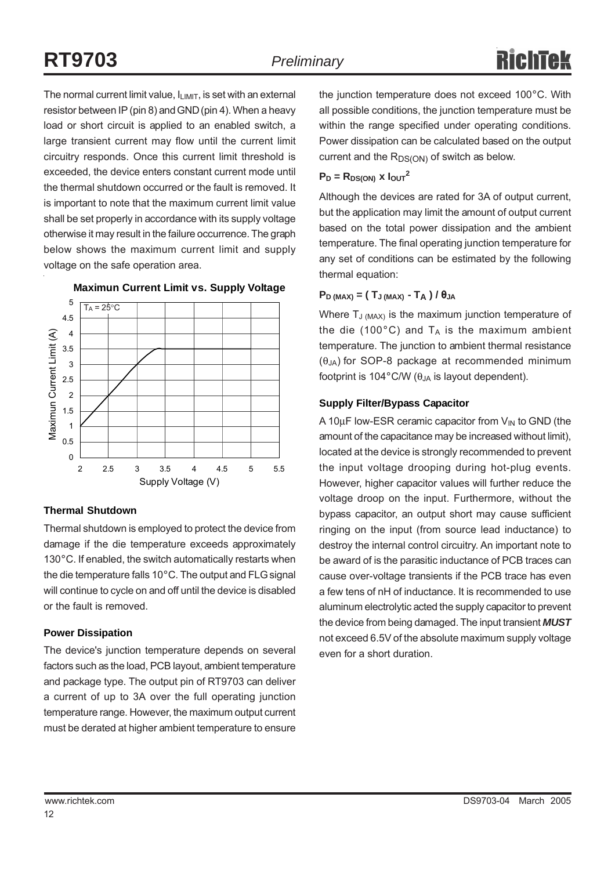The normal current limit value,  $I_{LIMIT}$ , is set with an external resistor between IP (pin 8) and GND (pin 4). When a heavy load or short circuit is applied to an enabled switch, a large transient current may flow until the current limit circuitry responds. Once this current limit threshold is exceeded, the device enters constant current mode until the thermal shutdown occurred or the fault is removed. It is important to note that the maximum current limit value shall be set properly in accordance with its supply voltage otherwise it may result in the failure occurrence. The graph below shows the maximum current limit and supply voltage on the safe operation area.



## **Maximun Current Limit vs. Supply Voltage**

#### **Thermal Shutdown**

Thermal shutdown is employed to protect the device from damage if the die temperature exceeds approximately 130°C. If enabled, the switch automatically restarts when the die temperature falls 10°C. The output and FLG signal will continue to cycle on and off until the device is disabled or the fault is removed.

#### **Power Dissipation**

The device's junction temperature depends on several factors such as the load, PCB layout, ambient temperature and package type. The output pin of RT9703 can deliver a current of up to 3A over the full operating junction temperature range. However, the maximum output current must be derated at higher ambient temperature to ensure

the junction temperature does not exceed 100°C. With all possible conditions, the junction temperature must be within the range specified under operating conditions. Power dissipation can be calculated based on the output current and the  $R_{DS(ON)}$  of switch as below.

#### $P_D = R_{DS(ON)}$  **x**  $I_{OUT}^2$

Although the devices are rated for 3A of output current, but the application may limit the amount of output current based on the total power dissipation and the ambient temperature. The final operating junction temperature for any set of conditions can be estimated by the following thermal equation:

#### $P<sub>D</sub>$  (MAX) = (T<sub>J</sub> (MAX) - T<sub>A</sub>) / θ<sub>JA</sub>

Where  $T_{J (MAX)}$  is the maximum junction temperature of the die (100 $^{\circ}$ C) and T<sub>A</sub> is the maximum ambient temperature. The junction to ambient thermal resistance  $(\theta_{JA})$  for SOP-8 package at recommended minimum footprint is 104 $^{\circ}$ C/W ( $\theta_{JA}$  is layout dependent).

#### **Supply Filter/Bypass Capacitor**

A 10 $\mu$ F low-ESR ceramic capacitor from  $V_{IN}$  to GND (the amount of the capacitance may be increased without limit), located at the device is strongly recommended to prevent the input voltage drooping during hot-plug events. However, higher capacitor values will further reduce the voltage droop on the input. Furthermore, without the bypass capacitor, an output short may cause sufficient ringing on the input (from source lead inductance) to destroy the internal control circuitry. An important note to be award of is the parasitic inductance of PCB traces can cause over-voltage transients if the PCB trace has even a few tens of nH of inductance. It is recommended to use aluminum electrolytic acted the supply capacitor to prevent the device from being damaged. The input transient *MUST* not exceed 6.5V of the absolute maximum supply voltage even for a short duration.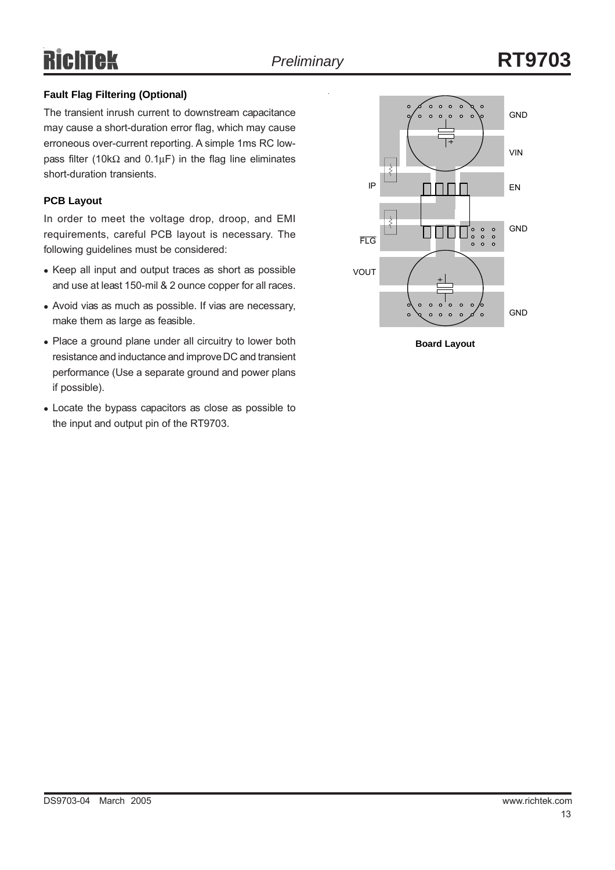#### **Fault Flag Filtering (Optional)**

The transient inrush current to downstream capacitance may cause a short-duration error flag, which may cause erroneous over-current reporting. A simple 1ms RC lowpass filter (10kΩ and  $0.1\mu$ F) in the flag line eliminates short-duration transients.

#### **PCB Layout**

In order to meet the voltage drop, droop, and EMI requirements, careful PCB layout is necessary. The following guidelines must be considered:

- Keep all input and output traces as short as possible and use at least 150-mil & 2 ounce copper for all races.
- Avoid vias as much as possible. If vias are necessary, make them as large as feasible.
- Place a ground plane under all circuitry to lower both resistance and inductance and improve DC and transient performance (Use a separate ground and power plans if possible).
- Locate the bypass capacitors as close as possible to the input and output pin of the RT9703.



**Board Layout**